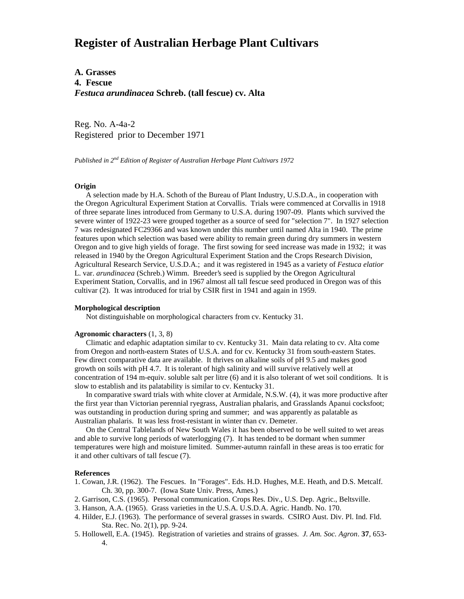# **Register of Australian Herbage Plant Cultivars**

**A. Grasses 4. Fescue** *Festuca arundinacea* **Schreb. (tall fescue) cv. Alta**

Reg. No. A-4a-2 Registered prior to December 1971

*Published in 2nd Edition of Register of Australian Herbage Plant Cultivars 1972*

### **Origin**

 A selection made by H.A. Schoth of the Bureau of Plant Industry, U.S.D.A., in cooperation with the Oregon Agricultural Experiment Station at Corvallis. Trials were commenced at Corvallis in 1918 of three separate lines introduced from Germany to U.S.A. during 1907-09. Plants which survived the severe winter of 1922-23 were grouped together as a source of seed for "selection 7". In 1927 selection 7 was redesignated FC29366 and was known under this number until named Alta in 1940. The prime features upon which selection was based were ability to remain green during dry summers in western Oregon and to give high yields of forage. The first sowing for seed increase was made in 1932; it was released in 1940 by the Oregon Agricultural Experiment Station and the Crops Research Division, Agricultural Research Service, U.S.D.A.; and it was registered in 1945 as a variety of *Festuca elatior* L. var. *arundinacea* (Schreb.) Wimm. Breeder's seed is supplied by the Oregon Agricultural Experiment Station, Corvallis, and in 1967 almost all tall fescue seed produced in Oregon was of this cultivar (2). It was introduced for trial by CSIR first in 1941 and again in 1959.

#### **Morphological description**

Not distinguishable on morphological characters from cv. Kentucky 31.

## **Agronomic characters** (1, 3, 8)

 Climatic and edaphic adaptation similar to cv. Kentucky 31. Main data relating to cv. Alta come from Oregon and north-eastern States of U.S.A. and for cv. Kentucky 31 from south-eastern States. Few direct comparative data are available. It thrives on alkaline soils of pH 9.5 and makes good growth on soils with pH 4.7. It is tolerant of high salinity and will survive relatively well at concentration of 194 m-equiv. soluble salt per litre (6) and it is also tolerant of wet soil conditions. It is slow to establish and its palatability is similar to cv. Kentucky 31.

 In comparative sward trials with white clover at Armidale, N.S.W. (4), it was more productive after the first year than Victorian perennial ryegrass, Australian phalaris, and Grasslands Apanui cocksfoot; was outstanding in production during spring and summer; and was apparently as palatable as Australian phalaris. It was less frost-resistant in winter than cv. Demeter.

 On the Central Tablelands of New South Wales it has been observed to be well suited to wet areas and able to survive long periods of waterlogging (7). It has tended to be dormant when summer temperatures were high and moisture limited. Summer-autumn rainfall in these areas is too erratic for it and other cultivars of tall fescue (7).

#### **References**

- 1. Cowan, J.R. (1962). The Fescues. In "Forages". Eds. H.D. Hughes, M.E. Heath, and D.S. Metcalf. Ch. 30, pp. 300-7. (Iowa State Univ. Press, Ames.)
- 2. Garrison, C.S. (1965). Personal communication. Crops Res. Div., U.S. Dep. Agric., Beltsville.
- 3. Hanson, A.A. (1965). Grass varieties in the U.S.A. U.S.D.A. Agric. Handb. No. 170.
- 4. Hilder, E.J. (1963). The performance of several grasses in swards. CSIRO Aust. Div. Pl. Ind. Fld. Sta. Rec. No. 2(1), pp. 9-24.
- 5. Hollowell, E.A. (1945). Registration of varieties and strains of grasses. *J. Am. Soc. Agron*. **37**, 653- 4.